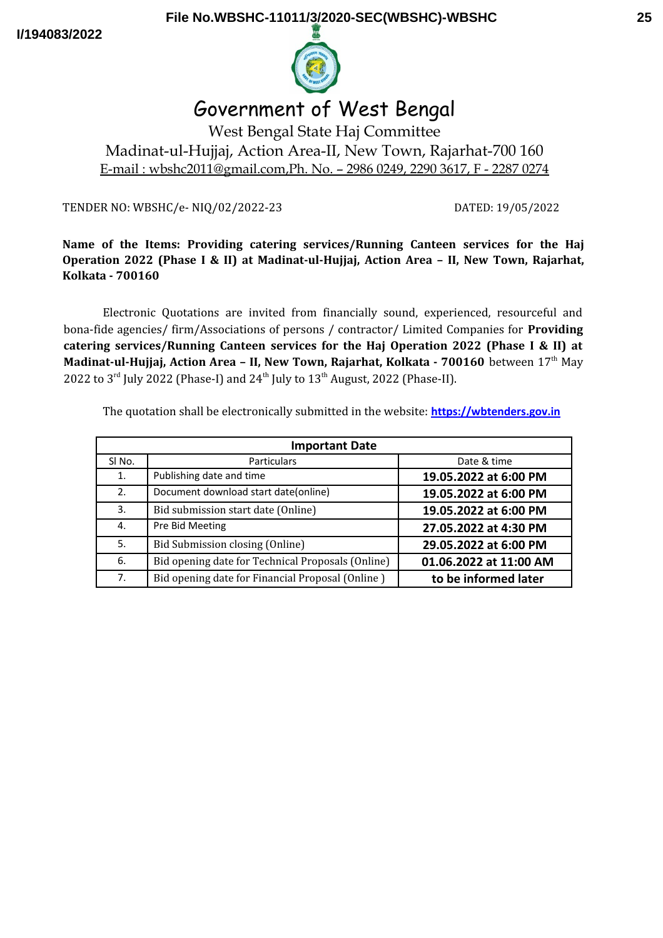**I/194083/2022**



# Government of West Bengal

West Bengal State Haj Committee Madinat-ul-Hujjaj, Action Area-II, New Town, Rajarhat-700 160 E-mail : wbshc2011@gmail.com,Ph. No. – 2986 0249, 2290 3617, F - 2287 0274

TENDER NO: WBSHC/e- NIQ/02/2022-23 DATED: 19/05/2022

## **Name of the Items: Providing catering services/Running Canteen services for the Haj Operation 2022 (Phase I & II) at Madinat-ul-Hujjaj, Action Area – II, New Town, Rajarhat, Kolkata - 700160**

Electronic Quotations are invited from financially sound, experienced, resourceful and bona-fide agencies/ firm/Associations of persons / contractor/ Limited Companies for **Providing catering services/Running Canteen services for the Haj Operation 2022 (Phase I & II) at Madinat-ul-Hujjaj, Action Area - II, New Town, Rajarhat, Kolkata - 700160** between 17<sup>th</sup> May 2022 to  $3^{\text{rd}}$  July 2022 (Phase-I) and  $24^{\text{th}}$  July to  $13^{\text{th}}$  August, 2022 (Phase-II).

The quotation shall be electronically submitted in the website: **[https://wbtenders.gov.in](https://wbtenders.gov.in/)**

| <b>Important Date</b> |                                                   |                        |  |  |
|-----------------------|---------------------------------------------------|------------------------|--|--|
| SI No.                | <b>Particulars</b>                                | Date & time            |  |  |
| 1.                    | Publishing date and time                          | 19.05.2022 at 6:00 PM  |  |  |
| 2.                    | Document download start date(online)              | 19.05.2022 at 6:00 PM  |  |  |
| 3.                    | Bid submission start date (Online)                | 19.05.2022 at 6:00 PM  |  |  |
| 4.                    | Pre Bid Meeting                                   | 27.05.2022 at 4:30 PM  |  |  |
| 5.                    | Bid Submission closing (Online)                   | 29.05.2022 at 6:00 PM  |  |  |
| 6.                    | Bid opening date for Technical Proposals (Online) | 01.06.2022 at 11:00 AM |  |  |
| 7 <sub>1</sub>        | Bid opening date for Financial Proposal (Online)  | to be informed later   |  |  |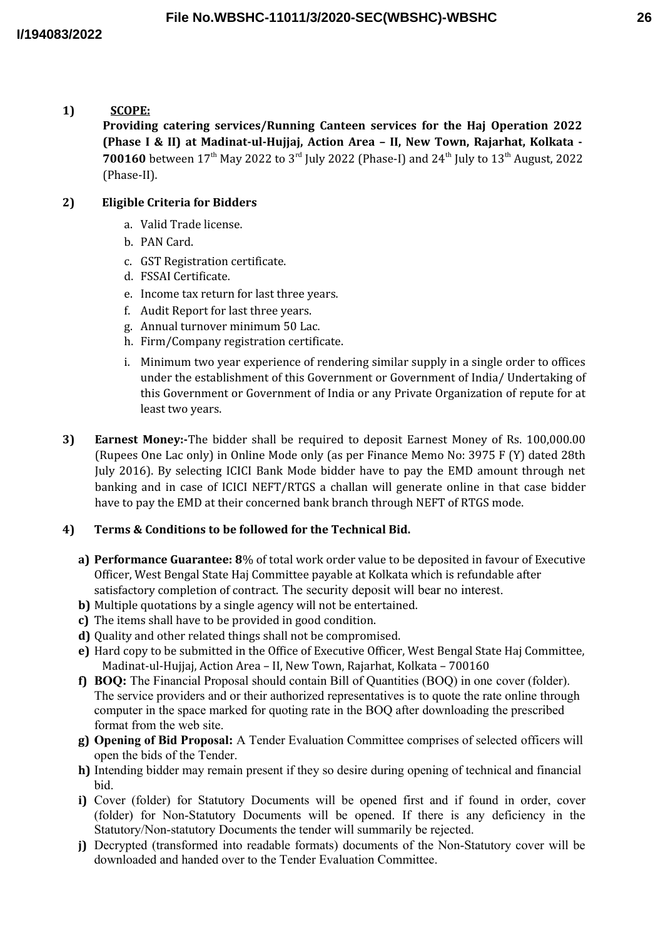**1) SCOPE:**

**Providing catering services/Running Canteen services for the Haj Operation 2022 (Phase I & II) at Madinat-ul-Hujjaj, Action Area – II, New Town, Rajarhat, Kolkata - 700160** between 17<sup>th</sup> May 2022 to 3<sup>rd</sup> July 2022 (Phase-I) and 24<sup>th</sup> July to 13<sup>th</sup> August, 2022 (Phase-II).

# **2) Eligible Criteria for Bidders**

- a. Valid Trade license.
- b. PAN Card.
- c. GST Registration certificate.
- d. FSSAI Certificate.
- e. Income tax return for last three years.
- f. Audit Report for last three years.
- g. Annual turnover minimum 50 Lac.
- h. Firm/Company registration certificate.
- i. Minimum two year experience of rendering similar supply in a single order to offices under the establishment of this Government or Government of India/ Undertaking of this Government or Government of India or any Private Organization of repute for at least two years.
- **3) Earnest Money:-**The bidder shall be required to deposit Earnest Money of Rs. 100,000.00 (Rupees One Lac only) in Online Mode only (as per Finance Memo No: 3975 F (Y) dated 28th July 2016). By selecting ICICI Bank Mode bidder have to pay the EMD amount through net banking and in case of ICICI NEFT/RTGS a challan will generate online in that case bidder have to pay the EMD at their concerned bank branch through NEFT of RTGS mode.

# **4) Terms & Conditions to be followed for the Technical Bid.**

- **a) Performance Guarantee: 8**% of total work order value to be deposited in favour of Executive Officer, West Bengal State Haj Committee payable at Kolkata which is refundable after satisfactory completion of contract. The security deposit will bear no interest.
- **b)** Multiple quotations by a single agency will not be entertained.
- **c)** The items shall have to be provided in good condition.
- **d)** Quality and other related things shall not be compromised.
- **e)** Hard copy to be submitted in the Office of Executive Officer, West Bengal State Haj Committee, Madinat-ul-Hujjaj, Action Area – II, New Town, Rajarhat, Kolkata – 700160
- **f) BOQ:** The Financial Proposal should contain Bill of Quantities (BOQ) in one cover (folder). The service providers and or their authorized representatives is to quote the rate online through computer in the space marked for quoting rate in the BOQ after downloading the prescribed format from the web site.
- **g) Opening of Bid Proposal:** A Tender Evaluation Committee comprises of selected officers will open the bids of the Tender.
- **h)** Intending bidder may remain present if they so desire during opening of technical and financial bid.
- **i)** Cover (folder) for Statutory Documents will be opened first and if found in order, cover (folder) for Non-Statutory Documents will be opened. If there is any deficiency in the Statutory/Non-statutory Documents the tender will summarily be rejected.
- **j)** Decrypted (transformed into readable formats) documents of the Non-Statutory cover will be downloaded and handed over to the Tender Evaluation Committee.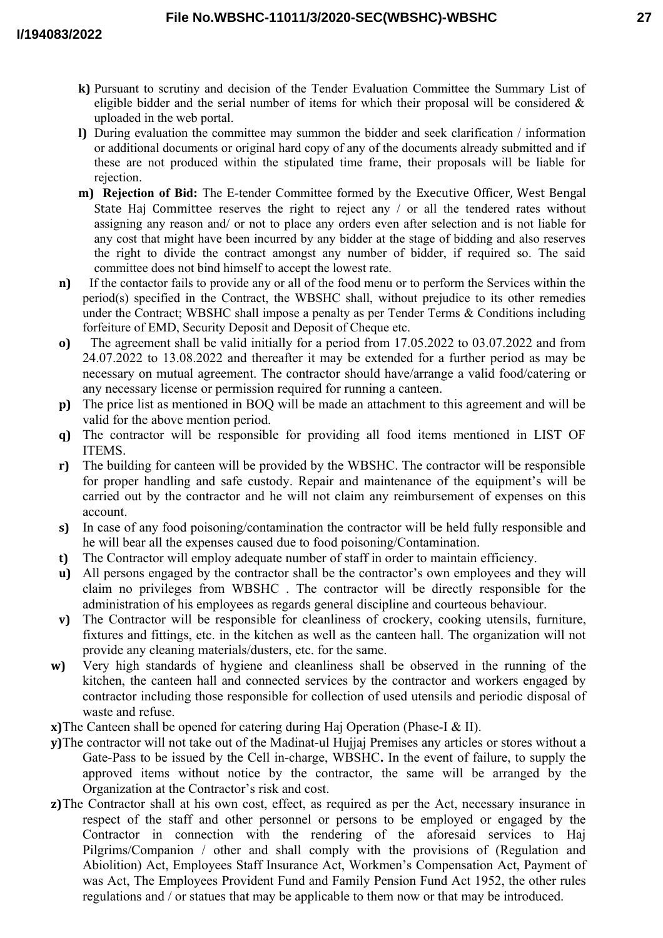- **27**
- **k)** Pursuant to scrutiny and decision of the Tender Evaluation Committee the Summary List of eligible bidder and the serial number of items for which their proposal will be considered  $\&$ uploaded in the web portal.
- **l)** During evaluation the committee may summon the bidder and seek clarification / information or additional documents or original hard copy of any of the documents already submitted and if these are not produced within the stipulated time frame, their proposals will be liable for rejection.
- **m) Rejection of Bid:** The E-tender Committee formed by the Executive Officer, West Bengal State Haj Committee reserves the right to reject any / or all the tendered rates without assigning any reason and/ or not to place any orders even after selection and is not liable for any cost that might have been incurred by any bidder at the stage of bidding and also reserves the right to divide the contract amongst any number of bidder, if required so. The said committee does not bind himself to accept the lowest rate.
- **n)** If the contactor fails to provide any or all of the food menu or to perform the Services within the period(s) specified in the Contract, the WBSHC shall, without prejudice to its other remedies under the Contract; WBSHC shall impose a penalty as per Tender Terms & Conditions including forfeiture of EMD, Security Deposit and Deposit of Cheque etc.
- **o)** The agreement shall be valid initially for a period from 17.05.2022 to 03.07.2022 and from 24.07.2022 to 13.08.2022 and thereafter it may be extended for a further period as may be necessary on mutual agreement. The contractor should have/arrange a valid food/catering or any necessary license or permission required for running a canteen.
- **p)** The price list as mentioned in BOQ will be made an attachment to this agreement and will be valid for the above mention period.
- **q)** The contractor will be responsible for providing all food items mentioned in LIST OF **ITEMS**
- **r)** The building for canteen will be provided by the WBSHC. The contractor will be responsible for proper handling and safe custody. Repair and maintenance of the equipment's will be carried out by the contractor and he will not claim any reimbursement of expenses on this account.
- **s)** In case of any food poisoning/contamination the contractor will be held fully responsible and he will bear all the expenses caused due to food poisoning/Contamination.
- **t)** The Contractor will employ adequate number of staff in order to maintain efficiency.
- **u)** All persons engaged by the contractor shall be the contractor's own employees and they will claim no privileges from WBSHC . The contractor will be directly responsible for the administration of his employees as regards general discipline and courteous behaviour.
- **v)** The Contractor will be responsible for cleanliness of crockery, cooking utensils, furniture, fixtures and fittings, etc. in the kitchen as well as the canteen hall. The organization will not provide any cleaning materials/dusters, etc. for the same.
- **w)** Very high standards of hygiene and cleanliness shall be observed in the running of the kitchen, the canteen hall and connected services by the contractor and workers engaged by contractor including those responsible for collection of used utensils and periodic disposal of waste and refuse.
- **x)**The Canteen shall be opened for catering during Haj Operation (Phase-I & II).
- **y)**The contractor will not take out of the Madinat-ul Hujjaj Premises any articles or stores without a Gate-Pass to be issued by the Cell in-charge, WBSHC**.** In the event of failure, to supply the approved items without notice by the contractor, the same will be arranged by the Organization at the Contractor's risk and cost.
- **z)**The Contractor shall at his own cost, effect, as required as per the Act, necessary insurance in respect of the staff and other personnel or persons to be employed or engaged by the Contractor in connection with the rendering of the aforesaid services to Haj Pilgrims/Companion / other and shall comply with the provisions of (Regulation and Abiolition) Act, Employees Staff Insurance Act, Workmen's Compensation Act, Payment of was Act, The Employees Provident Fund and Family Pension Fund Act 1952, the other rules regulations and / or statues that may be applicable to them now or that may be introduced.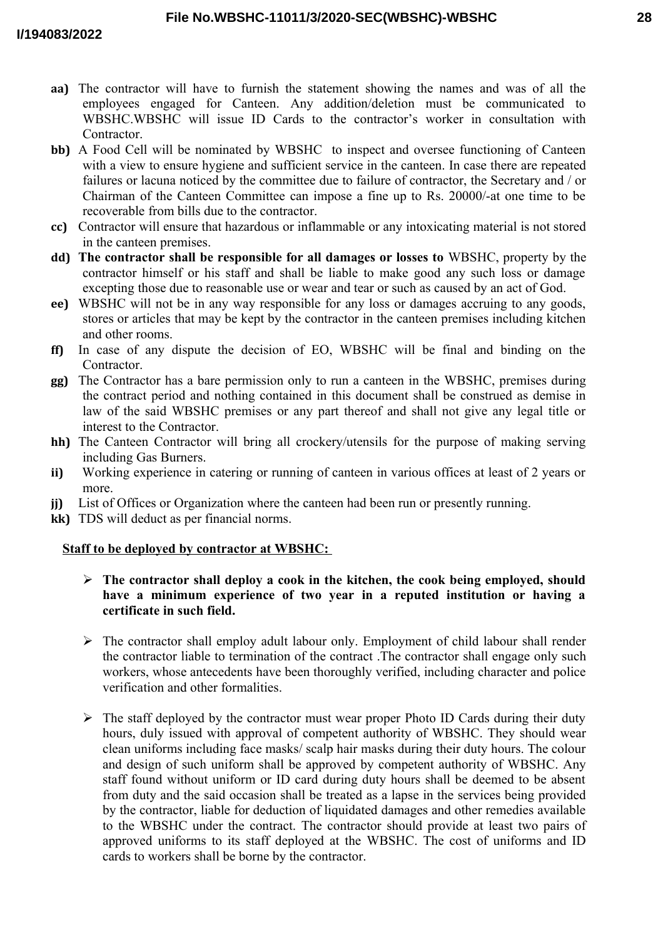- **aa)** The contractor will have to furnish the statement showing the names and was of all the employees engaged for Canteen. Any addition/deletion must be communicated to WBSHC.WBSHC will issue ID Cards to the contractor's worker in consultation with Contractor.
- **bb)** A Food Cell will be nominated by WBSHC to inspect and oversee functioning of Canteen with a view to ensure hygiene and sufficient service in the canteen. In case there are repeated failures or lacuna noticed by the committee due to failure of contractor, the Secretary and / or Chairman of the Canteen Committee can impose a fine up to Rs. 20000/-at one time to be recoverable from bills due to the contractor.
- **cc)** Contractor will ensure that hazardous or inflammable or any intoxicating material is not stored in the canteen premises.
- **dd) The contractor shall be responsible for all damages or losses to** WBSHC, property by the contractor himself or his staff and shall be liable to make good any such loss or damage excepting those due to reasonable use or wear and tear or such as caused by an act of God.
- **ee)** WBSHC will not be in any way responsible for any loss or damages accruing to any goods, stores or articles that may be kept by the contractor in the canteen premises including kitchen and other rooms.
- **ff)** In case of any dispute the decision of EO, WBSHC will be final and binding on the Contractor.
- **gg)** The Contractor has a bare permission only to run a canteen in the WBSHC, premises during the contract period and nothing contained in this document shall be construed as demise in law of the said WBSHC premises or any part thereof and shall not give any legal title or interest to the Contractor.
- **hh)** The Canteen Contractor will bring all crockery/utensils for the purpose of making serving including Gas Burners.
- **ii)** Working experience in catering or running of canteen in various offices at least of 2 years or more.
- **jj)** List of Offices or Organization where the canteen had been run or presently running.
- **kk)** TDS will deduct as per financial norms.

#### **Staff to be deployed by contractor at WBSHC:**

- **The contractor shall deploy a cook in the kitchen, the cook being employed, should have a minimum experience of two year in a reputed institution or having a certificate in such field.**
- $\triangleright$  The contractor shall employ adult labour only. Employment of child labour shall render the contractor liable to termination of the contract .The contractor shall engage only such workers, whose antecedents have been thoroughly verified, including character and police verification and other formalities.
- $\triangleright$  The staff deployed by the contractor must wear proper Photo ID Cards during their duty hours, duly issued with approval of competent authority of WBSHC. They should wear clean uniforms including face masks/ scalp hair masks during their duty hours. The colour and design of such uniform shall be approved by competent authority of WBSHC. Any staff found without uniform or ID card during duty hours shall be deemed to be absent from duty and the said occasion shall be treated as a lapse in the services being provided by the contractor, liable for deduction of liquidated damages and other remedies available to the WBSHC under the contract. The contractor should provide at least two pairs of approved uniforms to its staff deployed at the WBSHC. The cost of uniforms and ID cards to workers shall be borne by the contractor.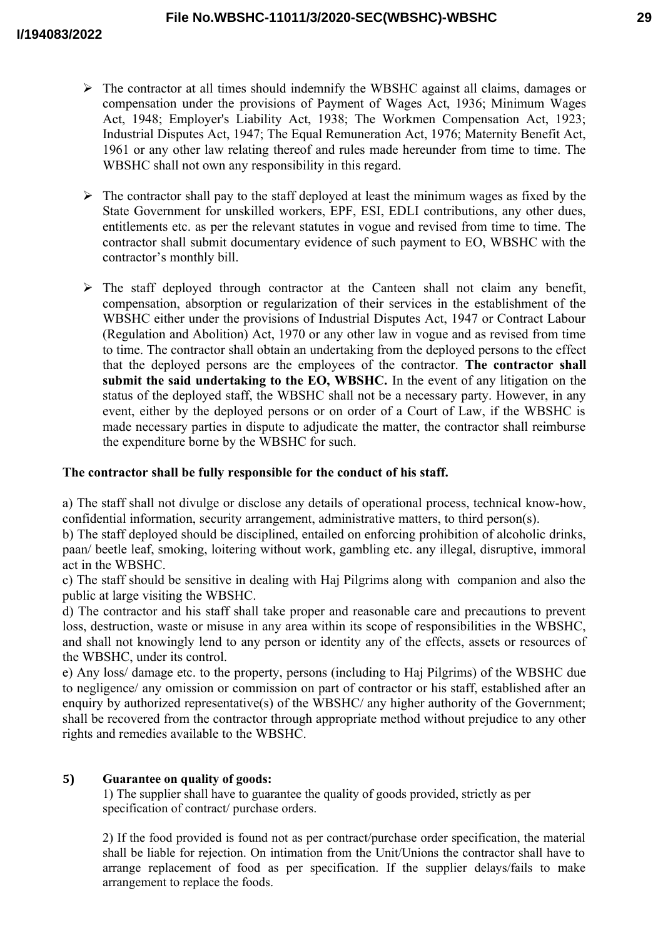- $\triangleright$  The contractor at all times should indemnify the WBSHC against all claims, damages or compensation under the provisions of Payment of Wages Act, 1936; Minimum Wages Act, 1948; Employer's Liability Act, 1938; The Workmen Compensation Act, 1923; Industrial Disputes Act, 1947; The Equal Remuneration Act, 1976; Maternity Benefit Act, 1961 or any other law relating thereof and rules made hereunder from time to time. The WBSHC shall not own any responsibility in this regard.
- $\triangleright$  The contractor shall pay to the staff deployed at least the minimum wages as fixed by the State Government for unskilled workers, EPF, ESI, EDLI contributions, any other dues, entitlements etc. as per the relevant statutes in vogue and revised from time to time. The contractor shall submit documentary evidence of such payment to EO, WBSHC with the contractor's monthly bill.
- $\triangleright$  The staff deployed through contractor at the Canteen shall not claim any benefit, compensation, absorption or regularization of their services in the establishment of the WBSHC either under the provisions of Industrial Disputes Act, 1947 or Contract Labour (Regulation and Abolition) Act, 1970 or any other law in vogue and as revised from time to time. The contractor shall obtain an undertaking from the deployed persons to the effect that the deployed persons are the employees of the contractor. **The contractor shall submit the said undertaking to the EO, WBSHC.** In the event of any litigation on the status of the deployed staff, the WBSHC shall not be a necessary party. However, in any event, either by the deployed persons or on order of a Court of Law, if the WBSHC is made necessary parties in dispute to adjudicate the matter, the contractor shall reimburse the expenditure borne by the WBSHC for such.

#### **The contractor shall be fully responsible for the conduct of his staff.**

a) The staff shall not divulge or disclose any details of operational process, technical know-how, confidential information, security arrangement, administrative matters, to third person(s).

b) The staff deployed should be disciplined, entailed on enforcing prohibition of alcoholic drinks, paan/ beetle leaf, smoking, loitering without work, gambling etc. any illegal, disruptive, immoral act in the WBSHC.

c) The staff should be sensitive in dealing with Haj Pilgrims along with companion and also the public at large visiting the WBSHC.

d) The contractor and his staff shall take proper and reasonable care and precautions to prevent loss, destruction, waste or misuse in any area within its scope of responsibilities in the WBSHC, and shall not knowingly lend to any person or identity any of the effects, assets or resources of the WBSHC, under its control.

e) Any loss/ damage etc. to the property, persons (including to Haj Pilgrims) of the WBSHC due to negligence/ any omission or commission on part of contractor or his staff, established after an enquiry by authorized representative(s) of the WBSHC/ any higher authority of the Government; shall be recovered from the contractor through appropriate method without prejudice to any other rights and remedies available to the WBSHC.

#### **5) Guarantee on quality of goods:**

1) The supplier shall have to guarantee the quality of goods provided, strictly as per specification of contract/ purchase orders.

2) If the food provided is found not as per contract/purchase order specification, the material shall be liable for rejection. On intimation from the Unit/Unions the contractor shall have to arrange replacement of food as per specification. If the supplier delays/fails to make arrangement to replace the foods.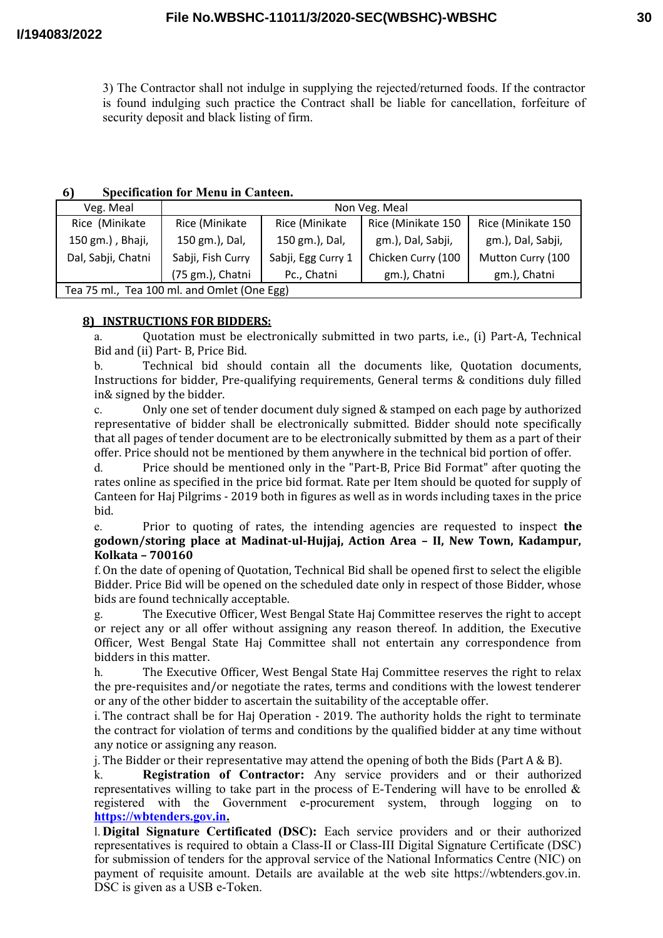3) The Contractor shall not indulge in supplying the rejected/returned foods. If the contractor is found indulging such practice the Contract shall be liable for cancellation, forfeiture of security deposit and black listing of firm.

#### **6) Specification for Menu in Canteen.**

| Veg. Meal                                   |                   |                    | Non Veg. Meal      |                    |  |
|---------------------------------------------|-------------------|--------------------|--------------------|--------------------|--|
| Rice (Minikate                              | Rice (Minikate    | Rice (Minikate     | Rice (Minikate 150 | Rice (Minikate 150 |  |
| 150 gm.), Bhaji,                            | 150 gm.), Dal,    | 150 gm.), Dal,     | gm.), Dal, Sabji,  | gm.), Dal, Sabji,  |  |
| Dal, Sabji, Chatni                          | Sabji, Fish Curry | Sabji, Egg Curry 1 | Chicken Curry (100 | Mutton Curry (100  |  |
|                                             | (75 gm.), Chatni  | Pc., Chatni        | gm.), Chatni       | gm.), Chatni       |  |
| Tea 75 ml., Tea 100 ml. and Omlet (One Egg) |                   |                    |                    |                    |  |

### **8) INSTRUCTIONS FOR BIDDERS:**

a. Quotation must be electronically submitted in two parts, i.e., (i) Part-A, Technical Bid and (ii) Part- B, Price Bid.

b. Technical bid should contain all the documents like, Quotation documents, Instructions for bidder, Pre-qualifying requirements, General terms & conditions duly filled in& signed by the bidder.

c. Only one set of tender document duly signed & stamped on each page by authorized representative of bidder shall be electronically submitted. Bidder should note specifically that all pages of tender document are to be electronically submitted by them as a part of their offer. Price should not be mentioned by them anywhere in the technical bid portion of offer.

d. Price should be mentioned only in the "Part-B, Price Bid Format" after quoting the rates online as specified in the price bid format. Rate per Item should be quoted for supply of Canteen for Haj Pilgrims - 2019 both in figures as well as in words including taxes in the price bid.

e. Prior to quoting of rates, the intending agencies are requested to inspect **the godown/storing place at Madinat-ul-Hujjaj, Action Area – II, New Town, Kadampur, Kolkata – 700160**

f.On the date of opening of Quotation, Technical Bid shall be opened first to select the eligible Bidder. Price Bid will be opened on the scheduled date only in respect of those Bidder, whose bids are found technically acceptable.

g. The Executive Officer, West Bengal State Haj Committee reserves the right to accept or reject any or all offer without assigning any reason thereof. In addition, the Executive Officer, West Bengal State Haj Committee shall not entertain any correspondence from bidders in this matter.

h. The Executive Officer, West Bengal State Haj Committee reserves the right to relax the pre-requisites and/or negotiate the rates, terms and conditions with the lowest tenderer or any of the other bidder to ascertain the suitability of the acceptable offer.

i. The contract shall be for Haj Operation - 2019. The authority holds the right to terminate the contract for violation of terms and conditions by the qualified bidder at any time without any notice or assigning any reason.

j. The Bidder or their representative may attend the opening of both the Bids (Part A & B).

k. **Registration of Contractor:** Any service providers and or their authorized representatives willing to take part in the process of E-Tendering will have to be enrolled  $\&$ registered with the Government e-procurement system, through logging on to  **[https://wbtenders.gov.in.](https://wbtenders.gov.in/)**

l. **Digital Signature Certificated (DSC):** Each service providers and or their authorized representatives is required to obtain a Class-II or Class-III Digital Signature Certificate (DSC) for submission of tenders for the approval service of the National Informatics Centre (NIC) on payment of requisite amount. Details are available at the web site https://wbtenders.gov.in. DSC is given as a USB e-Token.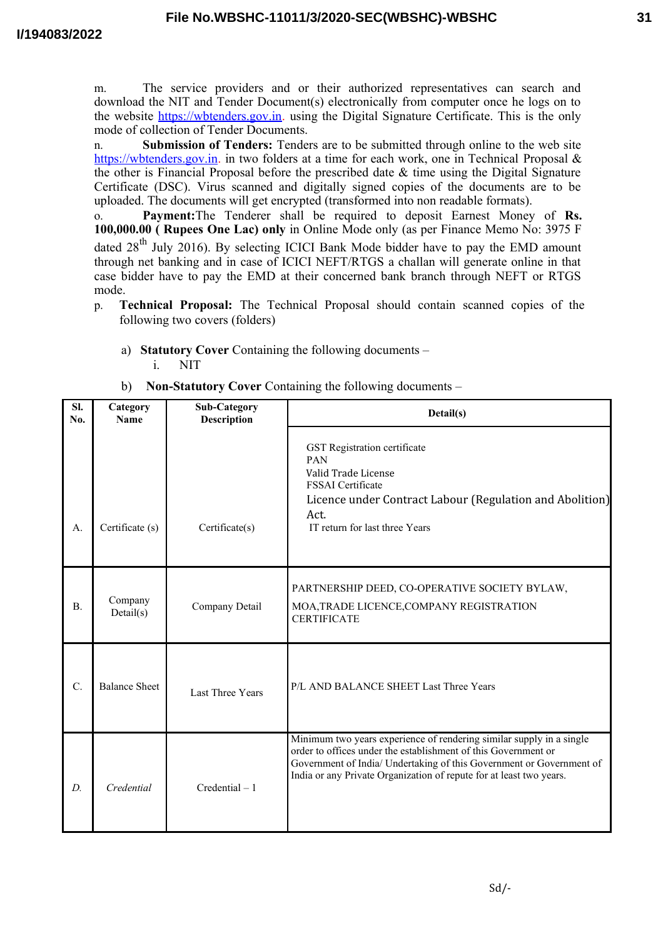m. The service providers and or their authorized representatives can search and download the NIT and Tender Document(s) electronically from computer once he logs on to the website https://wbtenders.gov.in. using the Digital Signature Certificate. This is the only mode of collection of Tender Documents.

n. **Submission of Tenders:** Tenders are to be submitted through online to the web site https://wbtenders.gov.in. in two folders at a time for each work, one in Technical Proposal & the other is Financial Proposal before the prescribed date  $\&$  time using the Digital Signature Certificate (DSC). Virus scanned and digitally signed copies of the documents are to be uploaded. The documents will get encrypted (transformed into non readable formats).

o. **Payment:**The Tenderer shall be required to deposit Earnest Money of **Rs. 100,000.00 ( Rupees One Lac) only** in Online Mode only (as per Finance Memo No: 3975 F dated 28<sup>th</sup> July 2016). By selecting ICICI Bank Mode bidder have to pay the EMD amount through net banking and in case of ICICI NEFT/RTGS a challan will generate online in that case bidder have to pay the EMD at their concerned bank branch through NEFT or RTGS mode.

- p. **Technical Proposal:** The Technical Proposal should contain scanned copies of the following two covers (folders)
	- a) **Statutory Cover** Containing the following documents –

i. NIT

b) **Non-Statutory Cover** Containing the following documents –

| SI.<br>No.       | Category<br><b>Name</b> | <b>Sub-Category</b><br><b>Description</b> | Detail(s)                                                                                                                                                                                                                                                                             |
|------------------|-------------------------|-------------------------------------------|---------------------------------------------------------------------------------------------------------------------------------------------------------------------------------------------------------------------------------------------------------------------------------------|
| A.               | Certificate (s)         | Certificate(s)                            | GST Registration certificate<br>PAN<br>Valid Trade License<br><b>FSSAI</b> Certificate<br>Licence under Contract Labour (Regulation and Abolition)<br>Act.<br>IT return for last three Years                                                                                          |
| $\mathbf{B}$ .   | Company<br>Details(s)   | Company Detail                            | PARTNERSHIP DEED, CO-OPERATIVE SOCIETY BYLAW,<br>MOA, TRADE LICENCE, COMPANY REGISTRATION<br><b>CERTIFICATE</b>                                                                                                                                                                       |
| $\overline{C}$ . | <b>Balance Sheet</b>    | Last Three Years                          | P/L AND BALANCE SHEET Last Three Years                                                                                                                                                                                                                                                |
| D.               | Credential              | $Credential - 1$                          | Minimum two years experience of rendering similar supply in a single<br>order to offices under the establishment of this Government or<br>Government of India/ Undertaking of this Government or Government of<br>India or any Private Organization of repute for at least two years. |